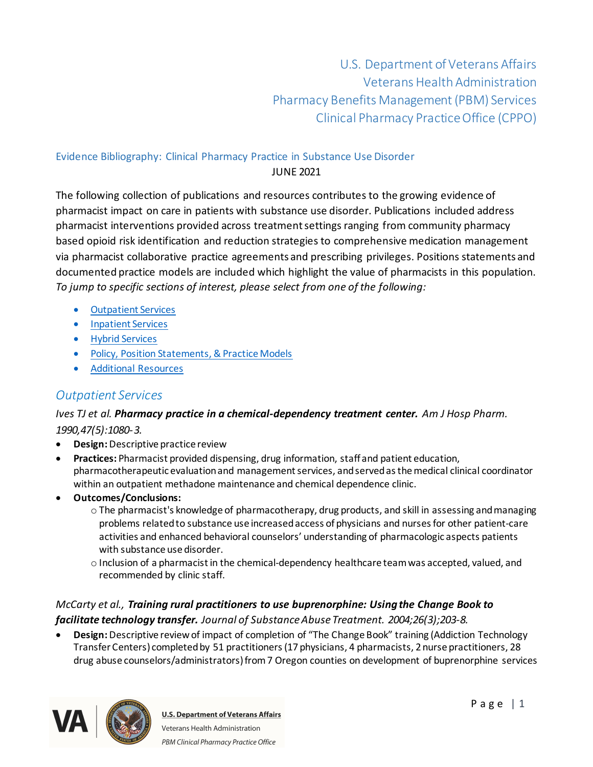U.S. Department of Veterans Affairs Veterans Health Administration Pharmacy Benefits Management (PBM) Services Clinical Pharmacy Practice Office (CPPO)

### Evidence Bibliography: Clinical Pharmacy Practice in Substance Use Disorder JUNE 2021

The following collection of publications and resources contributes to the growing evidence of pharmacist impact on care in patients with substance use disorder. Publications included address pharmacist interventions provided across treatment settings ranging from community pharmacy based opioid risk identification and reduction strategies to comprehensive medication management via pharmacist collaborative practice agreements and prescribing privileges. Positions statements and documented practice models are included which highlight the value of pharmacists in this population. *To jump to specific sections of interest, please select from one of the following:*

- **[Outpatient Services](#page-0-0)**
- · [Inpatient Services](#page-15-0)
- · [Hybrid Services](#page-17-0)
- · [Policy, Position Statements, & Practice Models](#page-18-0)
- <span id="page-0-0"></span>· Additional [Resources](#page-20-0)

# *Outpatient Services*

#### *Ives TJ et al. Pharmacy practice in a chemical-dependency treatment center. Am J Hosp Pharm. 1990,47(5):1080-3.*

- · **Design:** Descriptive practice review
- · **Practices:** Pharmacist provided dispensing, drug information, staff and patient education, pharmacotherapeutic evaluation and management services, and served as the medical clinical coordinator within an outpatient methadone maintenance and chemical dependence clinic.
- · **Outcomes/Conclusions:**
	- o The pharmacist's knowledge of pharmacotherapy, drug products, and skill in assessing and managing problems related to substance use increased access of physicians and nurses for other patient-care activities and enhanced behavioral counselors' understanding of pharmacologic aspects patients with substance use disorder.
	- o Inclusion of a pharmacist in the chemical-dependency healthcare team was accepted, valued, and recommended by clinic staff.

#### *McCarty et al., Training rural practitioners to use buprenorphine: Using the Change Book to facilitate technology transfer. Journal of Substance Abuse Treatment. 2004;26(3);203-8.*

· **Design:** Descriptive review of impact of completion of "The Change Book" training (Addiction Technology Transfer Centers) completed by 51 practitioners(17 physicians, 4 pharmacists, 2 nurse practitioners, 28 drug abuse counselors/administrators) from 7 Oregon counties on development of buprenorphine services

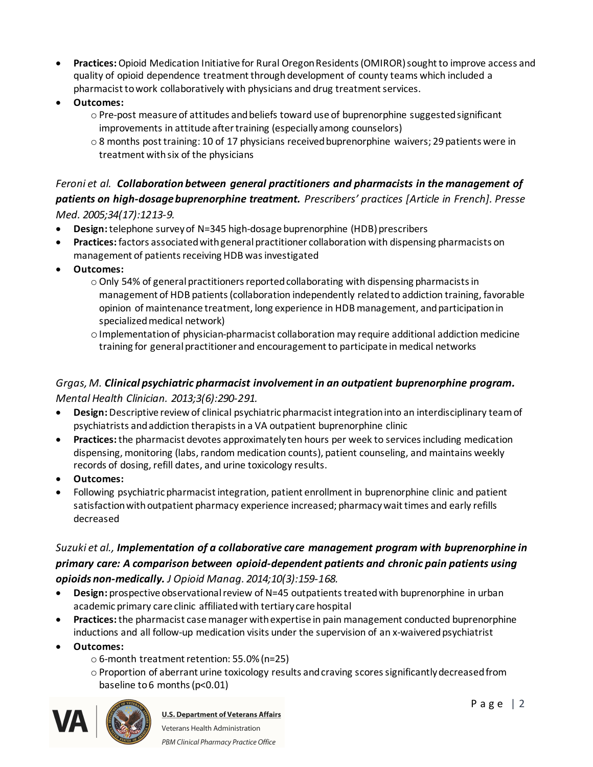- · **Practices:**Opioid Medication Initiative for Rural Oregon Residents (OMIROR) sought to improve access and quality of opioid dependence treatment through development of county teams which included a pharmacist to work collaboratively with physicians and drug treatment services.
- · **Outcomes:**
	- $\circ$  Pre-post measure of attitudes and beliefs toward use of buprenorphine suggested significant improvements in attitude after training (especially among counselors)
	- o 8 months post training: 10 of 17 physicians received buprenorphine waivers; 29 patients were in treatment with six of the physicians

#### *Feroni et al. Collaboration between general practitioners and pharmacists in the management of patients on high-dosage buprenorphine treatment. Prescribers' practices [Article in French]. Presse Med. 2005;34(17):1213-9.*

- **Design:** telephone survey of N=345 high-dosage buprenorphine (HDB) prescribers
- · **Practices:** factors associated with general practitioner collaboration with dispensing pharmacists on management of patients receiving HDB was investigated
- · **Outcomes:**
	- o Only 54% of general practitioners reported collaborating with dispensing pharmacists in management of HDB patients (collaboration independently related to addiction training, favorable opinion of maintenance treatment, long experience in HDB management, and participation in specialized medical network)
	- $\circ$  Implementation of physician-pharmacist collaboration may require additional addiction medicine training for general practitioner and encouragement to participate in medical networks

#### *Grgas, M. Clinical psychiatric pharmacist involvement in an outpatient buprenorphine program. Mental Health Clinician. 2013;3(6):290-291.*

- · **Design:** Descriptive review of clinical psychiatric pharmacist integration into an interdisciplinary team of psychiatrists and addiction therapists in a VA outpatient buprenorphine clinic
- · **Practices:**the pharmacist devotes approximately ten hours per week to services including medication dispensing, monitoring (labs, random medication counts), patient counseling, and maintains weekly records of dosing, refill dates, and urine toxicology results.
- · **Outcomes:**
- · Following psychiatric pharmacist integration, patient enrollment in buprenorphine clinic and patient satisfaction with outpatient pharmacy experience increased; pharmacy wait times and early refills decreased

#### *Suzuki et al., Implementation of a collaborative care management program with buprenorphine in primary care: A comparison between opioid-dependent patients and chronic pain patients using opioids non-medically. J Opioid Manag. 2014;10(3):159-168.*

- · **Design:** prospective observational review of N=45 outpatients treated with buprenorphine in urban academic primary care clinic affiliated with tertiary care hospital
- · **Practices:**the pharmacist case manager with expertise in pain management conducted buprenorphine inductions and all follow-up medication visits under the supervision of an x-waivered psychiatrist
- · **Outcomes:**
	- o 6-month treatment retention: 55.0% (n=25)
	- $\circ$  Proportion of aberrant urine toxicology results and craving scores significantly decreased from baseline to 6 months (p<0.01)



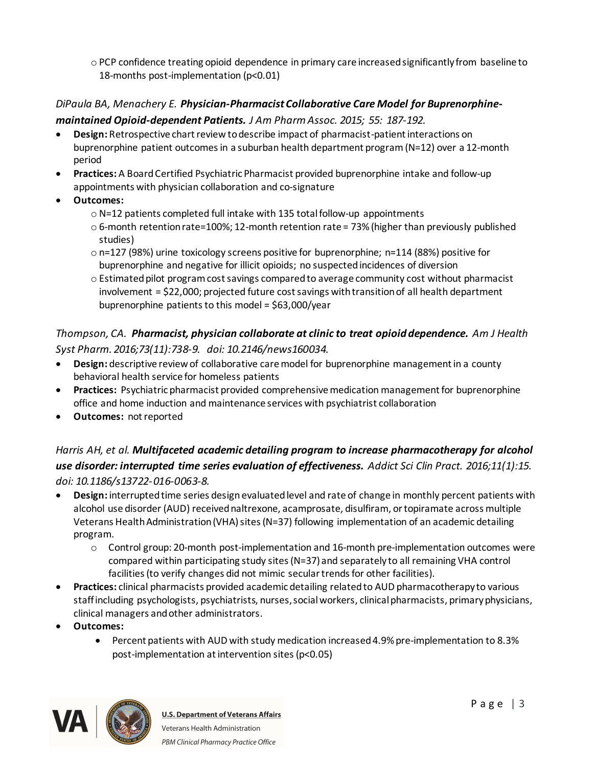o PCP confidence treating opioid dependence in primary care increased significantly from baseline to 18-months post-implementation (p<0.01)

# *DiPaula BA, Menachery E. Physician-Pharmacist Collaborative Care Model for Buprenorphine-*

#### *maintained Opioid-dependent Patients. J Am Pharm Assoc. 2015; 55: 187-192.*

- · **Design:** Retrospective chart review to describe impact of pharmacist-patient interactions on buprenorphine patient outcomesin a suburban health department program(N=12) over a 12-month period
- · **Practices:** A Board Certified Psychiatric Pharmacist provided buprenorphine intake and follow-up appointments with physician collaboration and co-signature
- · **Outcomes:**
	- o N=12 patients completed full intake with 135 total follow-up appointments
	- $\circ$  6-month retention rate=100%; 12-month retention rate = 73% (higher than previously published studies)
	- $\circ$  n=127 (98%) urine toxicology screens positive for buprenorphine; n=114 (88%) positive for buprenorphine and negative for illicit opioids; no suspected incidences of diversion
	- $\circ$  Estimated pilot program cost savings compared to average community cost without pharmacist involvement = \$22,000; projected future cost savings with transition of all health department buprenorphine patients to this model = \$63,000/year

### *Thompson, CA. Pharmacist, physician collaborate at clinic to treat opioid dependence. Am J Health Syst Pharm. 2016;73(11):738-9. doi: 10.2146/news160034.*

- · **Design:** descriptive review of collaborative care model for buprenorphine management in a county behavioral health service for homeless patients
- · **Practices:** Psychiatric pharmacist provided comprehensive medication management for buprenorphine office and home induction and maintenance services with psychiatrist collaboration
- · **Outcomes:** not reported

# *Harris AH, et al. Multifaceted academic detailing program to increase pharmacotherapy for alcohol use disorder: interrupted time series evaluation of effectiveness. Addict Sci Clin Pract. 2016;11(1):15. doi: 10.1186/s13722-016-0063-8.*

- · **Design:** interrupted time series design evaluatedlevel and rate of change in monthly percent patients with alcohol use disorder (AUD) received naltrexone, acamprosate, disulfiram, or topiramate across multiple Veterans Health Administration (VHA) sites (N=37) following implementation of an academic detailing program.
	- $\circ$  Control group: 20-month post-implementation and 16-month pre-implementation outcomes were compared within participating study sites(N=37) and separately to all remaining VHA control facilities (to verify changes did not mimic secular trends for other facilities).
- · **Practices:** clinical pharmacists provided academic detailing related to AUD pharmacotherapy to various staff including psychologists, psychiatrists, nurses, social workers, clinical pharmacists, primary physicians, clinical managers and other administrators.
- · **Outcomes:**
	- · Percent patients with AUD with study medication increased4.9% pre-implementation to 8.3% post-implementation at intervention sites (p<0.05)

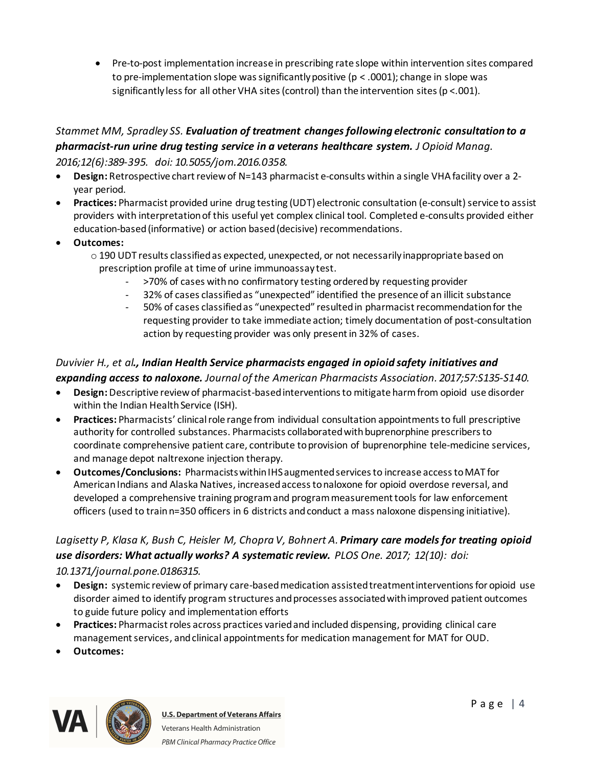· Pre-to-post implementation increase in prescribing rate slope within intervention sites compared to pre-implementation slope was significantly positive ( $p < .0001$ ); change in slope was significantly less for all other VHA sites (control) than the intervention sites ( $p < .001$ ).

#### *Stammet MM, Spradley SS. Evaluation of treatment changes following electronic consultation to a pharmacist-run urine drug testing service in a veterans healthcare system. J Opioid Manag. 2016;12(6):389-395. doi: 10.5055/jom.2016.0358.*

- · **Design:** Retrospective chart review of N=143 pharmacist e-consults within a single VHA facility over a 2 year period.
- · **Practices:** Pharmacist provided urine drug testing (UDT) electronic consultation (e-consult) service to assist providers with interpretation of this useful yet complex clinical tool. Completed e-consults provided either education-based (informative) or action based (decisive) recommendations.
- · **Outcomes:**
	- $\circ$  190 UDT results classified as expected, unexpected, or not necessarily inappropriate based on prescription profile at time of urine immunoassay test.
		- >70% of cases with no confirmatory testing ordered by requesting provider
		- 32% of cases classified as "unexpected" identified the presence of an illicit substance
		- 50% of cases classified as "unexpected" resulted in pharmacist recommendation for the requesting provider to take immediate action; timely documentation of post-consultation action by requesting provider was only present in 32% of cases.

#### *Duvivier H., et al., Indian Health Service pharmacists engaged in opioid safety initiatives and expanding access to naloxone. Journal of the American Pharmacists Association. 2017;57:S135-S140.*

- · **Design:** Descriptive review of pharmacist-based interventions to mitigate harm from opioid use disorder within the Indian Health Service (ISH).
- · **Practices:** Pharmacists' clinical role range from individual consultation appointments to full prescriptive authority for controlled substances. Pharmacists collaboratedwith buprenorphine prescribers to coordinate comprehensive patient care, contribute to provision of buprenorphine tele-medicine services, and manage depot naltrexone injection therapy.
- · **Outcomes/Conclusions:** Pharmacists within IHS augmented services to increase access to MAT for American Indians and Alaska Natives, increased access to naloxone for opioid overdose reversal, and developed a comprehensive training program and program measurement tools for law enforcement officers (used to train n=350 officers in 6 districts and conduct a mass naloxone dispensing initiative).

### *Lagisetty P, Klasa K, Bush C, Heisler M, Chopra V, Bohnert A. Primary care models for treating opioid use disorders: What actually works? A systematic review. PLOS One. 2017; 12(10): doi: 10.1371/journal.pone.0186315.*

- · **Design:** systemic review of primary care-based medication assisted treatment interventions for opioid use disorder aimed to identify program structures and processes associated with improved patient outcomes to guide future policy and implementation efforts
- · **Practices:** Pharmacistroles across practices varied and included dispensing, providing clinical care management services, and clinical appointments for medication management for MAT for OUD.
- · **Outcomes:**

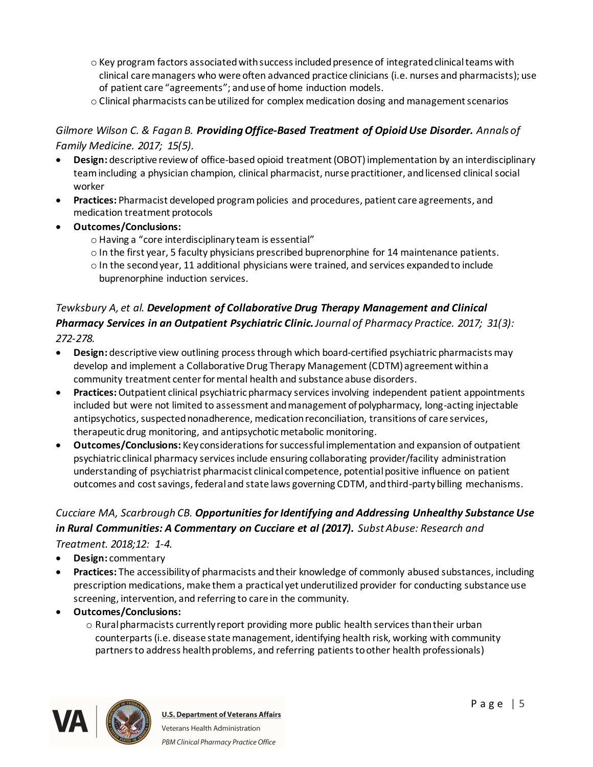- o Key program factors associatedwith success included presence of integrated clinical teams with clinical care managers who were often advanced practice clinicians (i.e. nurses and pharmacists); use of patient care "agreements"; and use of home induction models.
- o Clinical pharmacists can be utilized for complex medication dosing and management scenarios

#### *Gilmore Wilson C. & Fagan B. Providing Office-Based Treatment of Opioid Use Disorder. Annals of Family Medicine. 2017; 15(5).*

- · **Design:** descriptive review of office-based opioid treatment (OBOT) implementation by an interdisciplinary team including a physician champion, clinical pharmacist, nurse practitioner, and licensed clinical social worker
- · **Practices:** Pharmacist developed program policies and procedures, patient care agreements, and medication treatment protocols
- · **Outcomes/Conclusions:**
	- o Having a "core interdisciplinary team is essential"
	- $\circ$  In the first year, 5 faculty physicians prescribed buprenorphine for 14 maintenance patients.
	- o In the second year, 11 additional physicians were trained, and services expanded to include buprenorphine induction services.

#### *Tewksbury A, et al. Development of Collaborative Drug Therapy Management and Clinical Pharmacy Services in an Outpatient Psychiatric Clinic.Journal of Pharmacy Practice. 2017; 31(3): 272-278.*

- · **Design:** descriptive view outlining process through which board-certified psychiatric pharmacists may develop and implement a Collaborative Drug Therapy Management (CDTM) agreement withina community treatment center for mental health and substance abuse disorders.
- · **Practices:**Outpatient clinical psychiatric pharmacy services involving independent patient appointments included but were not limited to assessment and management of polypharmacy, long-acting injectable antipsychotics, suspected nonadherence, medication reconciliation, transitions of care services, therapeutic drug monitoring, and antipsychotic metabolic monitoring.
- · **Outcomes/Conclusions:** Key considerations for successful implementation and expansion of outpatient psychiatric clinical pharmacy services include ensuring collaborating provider/facility administration understanding of psychiatrist pharmacist clinical competence, potential positive influence on patient outcomes and cost savings, federal and state laws governing CDTM, and third-party billing mechanisms.

#### *Cucciare MA, Scarbrough CB. Opportunities for Identifying and Addressing Unhealthy Substance Use in Rural Communities: A Commentary on Cucciare et al (2017). Subst Abuse: Research and Treatment. 2018;12: 1-4.*

- · **Design:** commentary
- · **Practices:** The accessibility of pharmacists and their knowledge of commonly abused substances, including prescription medications, make them a practical yet underutilized provider for conducting substance use screening, intervention, and referring to care in the community.
- · **Outcomes/Conclusions:**
	- $\circ$  Rural pharmacists currently report providing more public health services than their urban counterparts(i.e. disease state management, identifying health risk, working with community partners to address health problems, and referring patients to other health professionals)

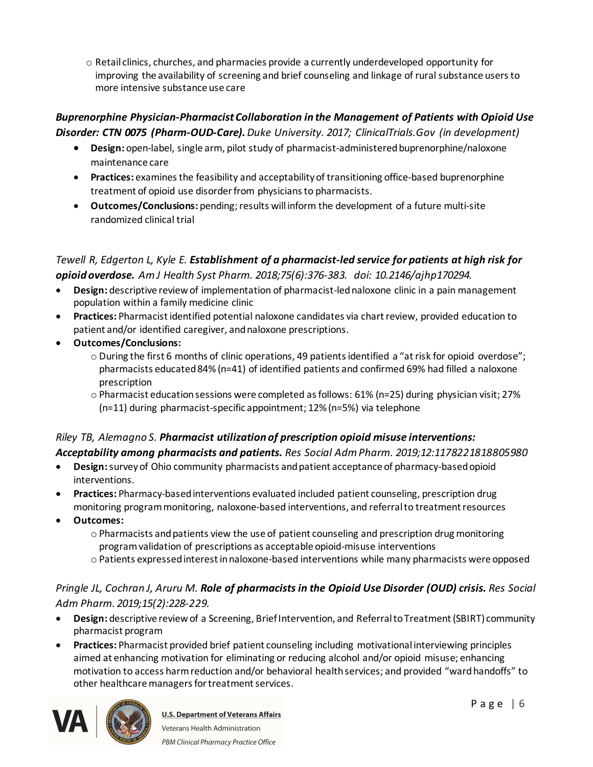o Retail clinics, churches, and pharmacies provide a currently underdeveloped opportunity for improving the availability of screening and brief counseling and linkage of rural substance users to more intensive substance use care

#### *Buprenorphine Physician-Pharmacist Collaboration in the Management of Patients with Opioid Use Disorder: CTN 0075 (Pharm-OUD-Care).Duke University. 2017; ClinicalTrials.Gov (in development)*

- · **Design:** open-label, single arm, pilot study of pharmacist-administered buprenorphine/naloxone maintenance care
- · **Practices:** examines the feasibility and acceptability of transitioning office-based buprenorphine treatment of opioid use disorder from physicians to pharmacists.
- · **Outcomes/Conclusions:** pending; results will inform the development of a future multi-site randomized clinical trial

```
Tewell R, Edgerton L, Kyle E. Establishment of a pharmacist-led service for patients at high risk for 
opioid overdose. Am J Health Syst Pharm. 2018;75(6):376-383. doi: 10.2146/ajhp170294.
```
- · **Design:** descriptive review of implementation of pharmacist-led naloxone clinic in a pain management population within a family medicine clinic
- · **Practices:** Pharmacist identified potential naloxone candidates via chart review, provided education to patient and/or identified caregiver, and naloxone prescriptions.
- · **Outcomes/Conclusions:**
	- o During the first 6 months of clinic operations, 49 patients identified a "at risk for opioid overdose"; pharmacists educated 84% (n=41) of identified patients and confirmed 69% had filled a naloxone prescription
	- o Pharmacist education sessions were completed as follows: 61% (n=25) during physician visit; 27% (n=11) during pharmacist-specific appointment; 12% (n=5%) via telephone

### *Riley TB, Alemagno S. Pharmacist utilization of prescription opioid misuse interventions: Acceptability among pharmacists and patients. Res Social Adm Pharm. 2019;12:1178221818805980*

- · **Design:**survey of Ohio community pharmacists and patient acceptance of pharmacy-based opioid interventions.
- · **Practices:** Pharmacy-based interventions evaluated included patient counseling, prescription drug monitoring program monitoring, naloxone-based interventions, and referral to treatment resources
- · **Outcomes:**
	- $\circ$  Pharmacists and patients view the use of patient counseling and prescription drug monitoring programvalidation of prescriptions as acceptable opioid-misuse interventions
	- o Patients expressed interest in naloxone-based interventions while many pharmacists were opposed

# *Pringle JL, Cochran J, Aruru M. Role of pharmacists in the Opioid Use Disorder (OUD) crisis. Res Social Adm Pharm. 2019;15(2):228-229.*

- · **Design:** descriptive review of a Screening, Brief Intervention, and Referral to Treatment (SBIRT) community pharmacist program
- · **Practices:** Pharmacist provided brief patient counseling including motivational interviewing principles aimed at enhancing motivation for eliminating or reducing alcohol and/or opioid misuse; enhancing motivation to access harm reduction and/or behavioral health services; and provided "ward handoffs" to other healthcare managers for treatment services.

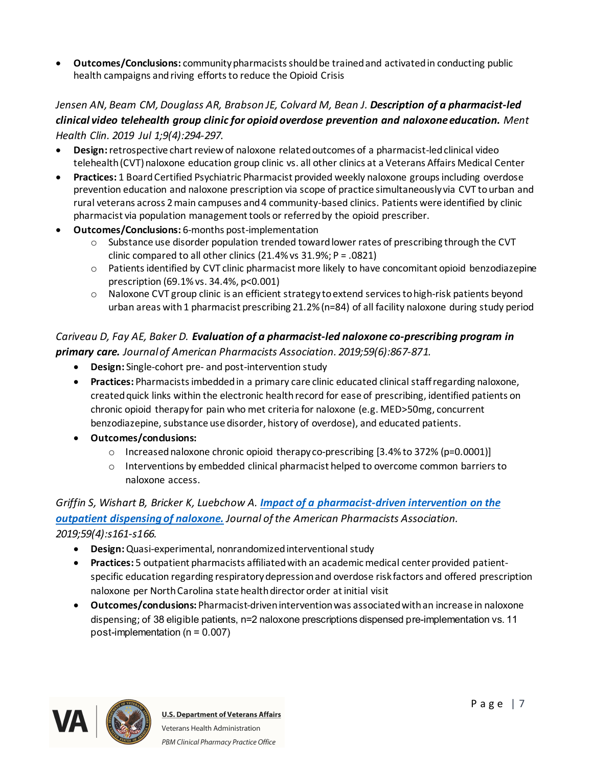· **Outcomes/Conclusions:** community pharmacists should be trained and activated in conducting public health campaigns and riving efforts to reduce the Opioid Crisis

### *Jensen AN, Beam CM, Douglass AR, Brabson JE, Colvard M, Bean J. Description of a pharmacist-led clinical video telehealth group clinic for opioid overdose prevention and naloxone education. Ment Health Clin. 2019 Jul 1;9(4):294-297.*

- · **Design:** retrospective chart review of naloxone relatedoutcomes of a pharmacist-led clinical video telehealth (CVT) naloxone education group clinic vs. all other clinics at a Veterans Affairs Medical Center
- · **Practices:** 1 BoardCertified Psychiatric Pharmacist provided weekly naloxone groups including overdose prevention education and naloxone prescription via scope of practice simultaneously via CVT to urban and rural veterans across 2 main campuses and 4 community-based clinics. Patients were identified by clinic pharmacist via population management tools or referred by the opioid prescriber.
- · **Outcomes/Conclusions:** 6-months post-implementation
	- $\circ$  Substance use disorder population trended toward lower rates of prescribing through the CVT clinic compared to all other clinics (21.4% vs 31.9%; P = .0821)
	- $\circ$  Patients identified by CVT clinic pharmacist more likely to have concomitant opioid benzodiazepine prescription (69.1% vs. 34.4%, p<0.001)
	- $\circ$  Naloxone CVT group clinic is an efficient strategy to extend services to high-risk patients beyond urban areas with 1 pharmacist prescribing 21.2% (n=84) of all facility naloxone during study period

### *Cariveau D, Fay AE, Baker D. Evaluation of a pharmacist-led naloxone co-prescribing program in primary care. Journal of American Pharmacists Association. 2019;59(6):867-871.*

- · **Design:** Single-cohort pre- and post-intervention study
- · **Practices:** Pharmacists imbeddedin a primary care clinic educated clinical staff regarding naloxone, created quick links within the electronic health record for ease of prescribing, identified patients on chronic opioid therapy for pain who met criteria for naloxone (e.g. MED>50mg, concurrent benzodiazepine, substance use disorder, history of overdose), and educated patients.
- · **Outcomes/conclusions:**
	- $\circ$  Increased naloxone chronic opioid therapy co-prescribing [3.4% to 372% (p=0.0001)]
	- $\circ$  Interventions by embedded clinical pharmacist helped to overcome common barriers to naloxone access.

# *Griffin S, Wishart B, Bricker K, Luebchow A. [Impact of a pharmacist-driven intervention on the](https://www.clinicalkey.com/#!/content/journal/1-s2.0-S1544319119302894)  [outpatient dispensing of naloxone.](https://www.clinicalkey.com/#!/content/journal/1-s2.0-S1544319119302894) Journal of the American Pharmacists Association.*

- *2019;59(4):s161-s166.* 
	- · **Design:** Quasi-experimental, nonrandomized interventional study
	- · **Practices:** 5 outpatient pharmacists affiliated with an academic medical center provided patientspecific education regarding respiratory depression and overdose risk factors and offered prescription naloxone per North Carolina state health director order at initial visit
	- · **Outcomes/conclusions:** Pharmacist-driven intervention was associated with an increase in naloxone dispensing; of 38 eligible patients, n=2 naloxone prescriptions dispensed pre-implementation vs. 11 post-implementation (n = 0.007)

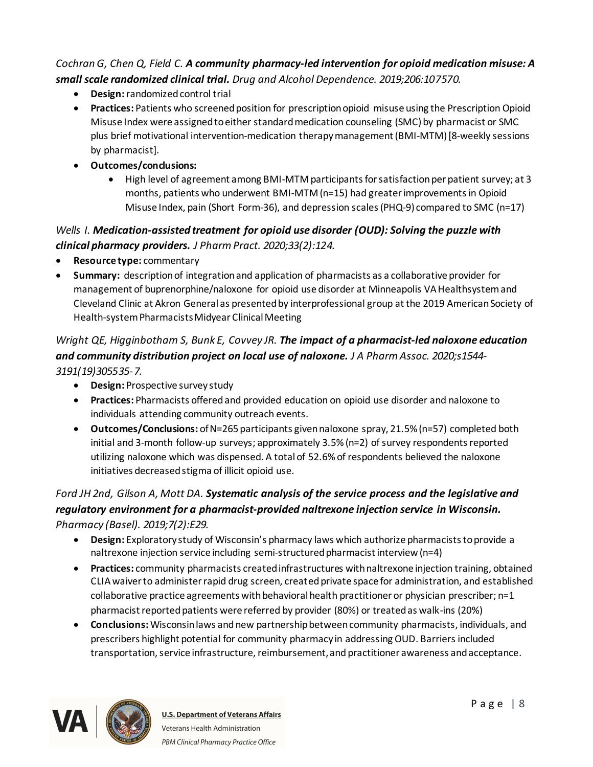#### *Cochran G, Chen Q, Field C. A community pharmacy-led intervention for opioid medication misuse: A small scale randomized clinical trial. Drug and Alcohol Dependence. 2019;206:107570.*

- · **Design:** randomized control trial
- · **Practices:** Patients who screened position for prescription opioid misuse using the Prescription Opioid Misuse Index were assigned to either standard medication counseling (SMC)by pharmacist or SMC plus brief motivational intervention-medication therapy management(BMI-MTM) [8-weekly sessions by pharmacist].
- · **Outcomes/conclusions:**
	- · High level of agreement among BMI-MTM participants for satisfaction per patient survey; at 3 months, patients who underwent BMI-MTM (n=15) had greater improvements in Opioid Misuse Index, pain (Short Form-36), and depression scales (PHQ-9) compared to SMC (n=17)

### *Wells I. Medication-assisted treatment for opioid use disorder (OUD): Solving the puzzle with clinical pharmacy providers. J Pharm Pract. 2020;33(2):124.*

- · **Resource type:** commentary
- · **Summary:** description of integration and application of pharmacists as a collaborative provider for management of buprenorphine/naloxone for opioid use disorder at Minneapolis VA Healthsystem and Cleveland Clinic at Akron General as presented by interprofessional group at the 2019 American Society of Health-system Pharmacists Midyear Clinical Meeting

# *Wright QE, Higginbotham S, Bunk E, Covvey JR. The impact of a pharmacist-led naloxone education and community distribution project on local use of naloxone. J A Pharm Assoc. 2020;s1544- 3191(19)305535-7.*

- · **Design:** Prospective survey study
- · **Practices:** Pharmacists offered and provided education on opioid use disorder and naloxone to individuals attending community outreach events.
- · **Outcomes/Conclusions:** of N=265 participants givennaloxone spray, 21.5% (n=57) completed both initial and 3-month follow-up surveys; approximately 3.5% (n=2) of survey respondents reported utilizing naloxone which was dispensed. A total of 52.6% of respondents believed the naloxone initiatives decreased stigma of illicit opioid use.

# *Ford JH 2nd, Gilson A, Mott DA. Systematic analysis of the service process and the legislative and regulatory environment for a pharmacist-provided naltrexone injection service in Wisconsin. Pharmacy (Basel). 2019;7(2):E29.*

- · **Design:** Exploratory study of Wisconsin's pharmacy laws which authorize pharmacists to provide a naltrexone injection service including semi-structured pharmacist interview (n=4)
- · **Practices:** community pharmacists created infrastructures with naltrexone injection training, obtained CLIA waiver to administer rapid drug screen, created private space for administration, and established collaborative practice agreements with behavioral health practitioner or physician prescriber; n=1 pharmacist reported patients were referred by provider (80%) or treated as walk-ins (20%)
- · **Conclusions:** Wisconsin laws and new partnership between community pharmacists, individuals, and prescribers highlight potential for community pharmacy in addressing OUD. Barriers included transportation, service infrastructure, reimbursement, and practitioner awareness and acceptance.

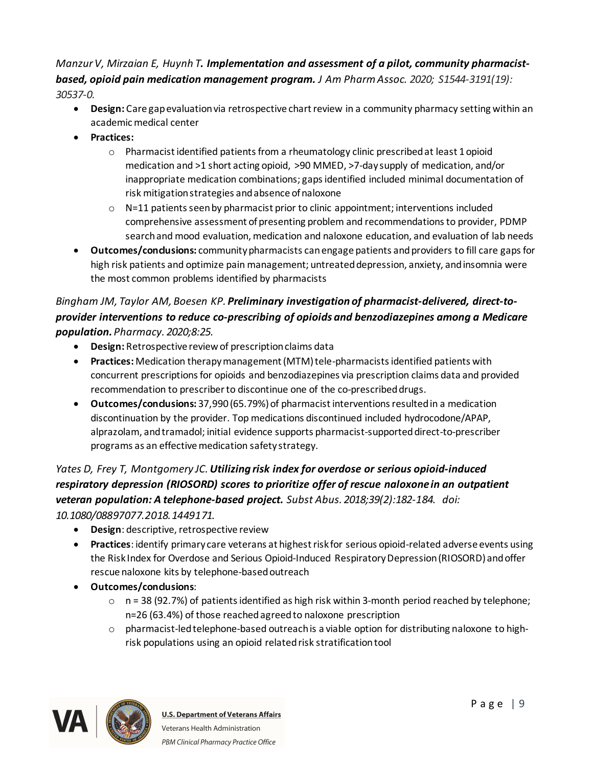#### *Manzur V, Mirzaian E, Huynh T. Implementation and assessment of a pilot, community pharmacistbased, opioid pain medication management program. J Am Pharm Assoc. 2020; S1544-3191(19): 30537-0.*

- · **Design:** Care gap evaluation via retrospective chart review in a community pharmacy setting within an academic medical center
- · **Practices:** 
	- o Pharmacist identified patients from a rheumatology clinic prescribed at least 1 opioid medication and >1 short acting opioid, >90 MMED, >7-day supply of medication, and/or inappropriate medication combinations; gaps identified included minimal documentation of risk mitigation strategies and absence of naloxone
	- $\circ$  N=11 patients seen by pharmacist prior to clinic appointment; interventions included comprehensive assessment of presenting problem and recommendations to provider, PDMP search and mood evaluation, medication and naloxone education, and evaluation of lab needs
- · **Outcomes/conclusions:** community pharmacists canengage patients and providers to fill care gaps for high risk patients and optimize pain management; untreated depression, anxiety, and insomnia were the most common problems identified by pharmacists

# *Bingham JM, Taylor AM, Boesen KP. Preliminary investigation of pharmacist-delivered, direct-toprovider interventions to reduce co-prescribing of opioids and benzodiazepines among a Medicare population. Pharmacy. 2020;8:25.*

- · **Design:** Retrospective review of prescription claims data
- · **Practices:** Medication therapy management (MTM) tele-pharmacists identified patients with concurrent prescriptions for opioids and benzodiazepines via prescription claims data and provided recommendation to prescriber to discontinue one of the co-prescribed drugs.
- · **Outcomes/conclusions:** 37,990 (65.79%) of pharmacist interventions resulted in a medication discontinuation by the provider. Top medications discontinued included hydrocodone/APAP, alprazolam, and tramadol; initial evidence supports pharmacist-supported direct-to-prescriber programs as an effective medication safety strategy.

# *[Yates](https://www.ncbi.nlm.nih.gov/pubmed/?term=Yates%20D%5BAuthor%5D&cauthor=true&cauthor_uid=29578839) D, [Frey T,](https://www.ncbi.nlm.nih.gov/pubmed/?term=Frey%20T%5BAuthor%5D&cauthor=true&cauthor_uid=29578839) [Montgomery JC](https://www.ncbi.nlm.nih.gov/pubmed/?term=Montgomery%20JC%5BAuthor%5D&cauthor=true&cauthor_uid=29578839).Utilizing risk index for overdose or serious opioid-induced respiratory depression (RIOSORD) scores to prioritize offer of rescue naloxonein an outpatient veteran population: A telephone-based project. [Subst Abus.](https://www.ncbi.nlm.nih.gov/pubmed/29578839) 2018;39(2):182-184. doi:*

*10.1080/08897077.2018.1449171.*

- · **Design**: descriptive, retrospective review
- · **Practices**: identify primary care veterans at highest risk for serious opioid-related adverse events using the Risk Index for Overdose and Serious Opioid-Induced Respiratory Depression (RIOSORD) and offer rescue naloxone kits by telephone-based outreach
- · **Outcomes/conclusions**:
	- $\circ$  n = 38 (92.7%) of patients identified as high risk within 3-month period reached by telephone; n=26 (63.4%) of those reached agreed to naloxone prescription
	- $\circ$  pharmacist-led telephone-based outreach is a viable option for distributing naloxone to highrisk populations using an opioid related risk stratification tool



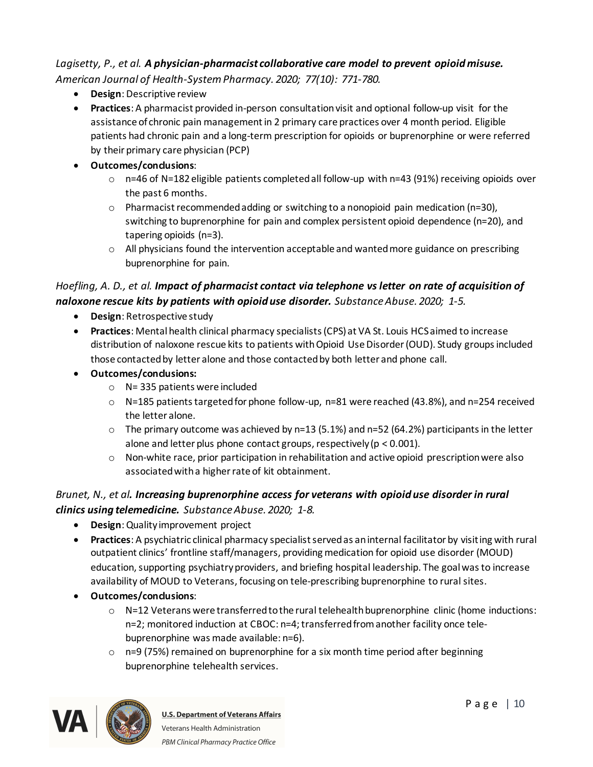#### *Lagisetty, P., et al. A physician-pharmacist collaborative care model to prevent opioid misuse. American Journal of Health-System Pharmacy. 2020; 77(10): 771-780.*

- · **Design**: Descriptive review
- · **Practices**: A pharmacist provided in-person consultation visit and optional follow-up visit for the assistance of chronic pain management in 2 primary care practices over 4 month period. Eligible patients had chronic pain and a long-term prescription for opioids or buprenorphine or were referred by their primary care physician (PCP)
- · **Outcomes/conclusions**:
	- $\circ$  n=46 of N=182 eligible patients completed all follow-up with n=43 (91%) receiving opioids over the past 6 months.
	- $\circ$  Pharmacist recommended adding or switching to a nonopioid pain medication (n=30), switching to buprenorphine for pain and complex persistent opioid dependence (n=20), and tapering opioids (n=3).
	- $\circ$  All physicians found the intervention acceptable and wanted more guidance on prescribing buprenorphine for pain.

#### *Hoefling, A. D., et al. Impact of pharmacist contact via telephone vs letter on rate of acquisition of naloxone rescue kits by patients with opioid use disorder. Substance Abuse. 2020; 1-5.*

- · **Design**: Retrospective study
- · **Practices**: Mental health clinical pharmacy specialists (CPS) at VA St. Louis HCS aimed to increase distribution of naloxone rescue kits to patients with Opioid Use Disorder (OUD). Study groups included those contacted by letter alone and those contacted by both letter and phone call.
- · **Outcomes/conclusions:** 
	- $\circ$  N= 335 patients were included
	- $\circ$  N=185 patients targeted for phone follow-up, n=81 were reached (43.8%), and n=254 received the letter alone.
	- $\circ$  The primary outcome was achieved by n=13 (5.1%) and n=52 (64.2%) participants in the letter alone and letter plus phone contact groups, respectively (p < 0.001).
	- o Non-white race, prior participation in rehabilitation and active opioid prescription were also associated with a higher rate of kit obtainment.

### *Brunet, N., et al. Increasing buprenorphine access for veterans with opioid use disorder in rural clinics using telemedicine. Substance Abuse. 2020; 1-8.*

- · **Design**: Quality improvement project
- · **Practices**: A psychiatric clinical pharmacy specialist served as an internal facilitator by visiting with rural outpatient clinics' frontline staff/managers, providing medication for opioid use disorder (MOUD) education, supporting psychiatry providers, and briefing hospital leadership. The goal was to increase availability of MOUD to Veterans, focusing on tele-prescribing buprenorphine to rural sites.
- · **Outcomes/conclusions**:
	- $\circ$  N=12 Veterans were transferred to the rural telehealth buprenorphine clinic (home inductions: n=2; monitored induction at CBOC: n=4; transferred from another facility once telebuprenorphine was made available: n=6).
	- $\circ$  n=9 (75%) remained on buprenorphine for a six month time period after beginning buprenorphine telehealth services.

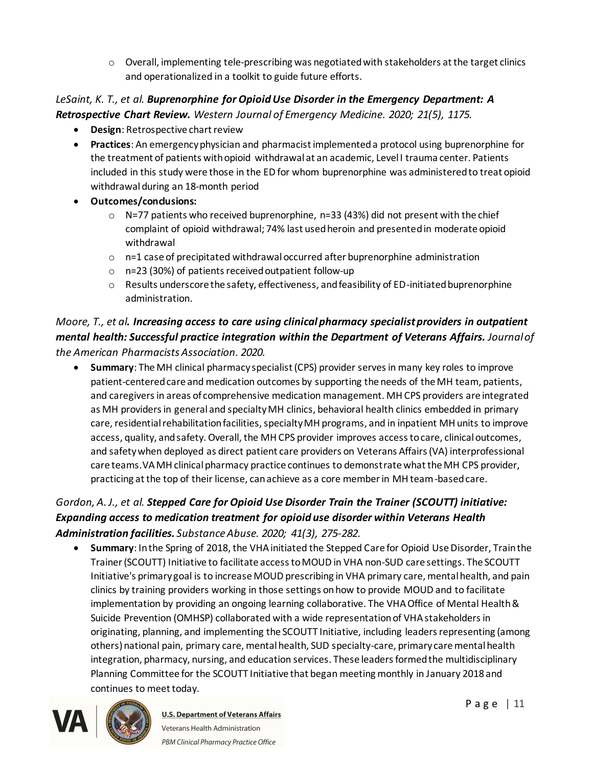$\circ$  Overall, implementing tele-prescribing was negotiated with stakeholders at the target clinics and operationalized in a toolkit to guide future efforts.

*LeSaint, K. T., et al. Buprenorphine for Opioid Use Disorder in the Emergency Department: A Retrospective Chart Review. Western Journal of Emergency Medicine. 2020; 21(5), 1175.*

- · **Design**: Retrospective chart review
- · **Practices**: An emergency physician and pharmacist implemented a protocol using buprenorphine for the treatment of patients with opioid withdrawal at an academic, Level I trauma center. Patients included in this study were those in the ED for whom buprenorphine was administered to treat opioid withdrawal during an 18-month period
- · **Outcomes/conclusions:** 
	- $\circ$  N=77 patients who received buprenorphine, n=33 (43%) did not present with the chief complaint of opioid withdrawal; 74% last used heroin and presented in moderate opioid withdrawal
	- $\circ$  n=1 case of precipitated withdrawal occurred after buprenorphine administration
	- o n=23 (30%) of patients received outpatient follow-up
	- o Results underscore the safety, effectiveness, and feasibility of ED-initiated buprenorphine administration.

# *Moore, T., et al. Increasing access to care using clinical pharmacy specialist providers in outpatient mental health: Successful practice integration within the Department of Veterans Affairs. Journal of the American Pharmacists Association. 2020.*

· **Summary**: The MH clinical pharmacy specialist (CPS) provider serves in many key roles to improve patient-centered care and medication outcomes by supporting the needs of the MH team, patients, and caregivers in areas of comprehensive medication management. MH CPS providers are integrated as MH providers in general and specialty MH clinics, behavioral health clinics embedded in primary care, residential rehabilitation facilities, specialty MH programs, and in inpatient MH units to improve access, quality, and safety. Overall, the MH CPS provider improves access to care, clinical outcomes, and safety when deployed as direct patient care providers on Veterans Affairs (VA) interprofessional care teams.VA MH clinical pharmacy practice continues to demonstrate what the MH CPS provider, practicing at the top of their license, can achieve as a core member in MH team-based care.

# *Gordon, A. J., et al. Stepped Care for Opioid Use Disorder Train the Trainer (SCOUTT) initiative: Expanding access to medication treatment for opioid use disorder within Veterans Health Administration facilities. Substance Abuse. 2020; 41(3), 275-282.*

· **Summary**: In the Spring of 2018, the VHA initiated the Stepped Care for Opioid Use Disorder, Train the Trainer (SCOUTT) Initiative to facilitate access to MOUD in VHA non-SUD care settings. The SCOUTT Initiative's primary goal is to increase MOUD prescribing in VHA primary care, mental health, and pain clinics by training providers working in those settings on how to provide MOUD and to facilitate implementation by providing an ongoing learning collaborative. The VHA Office of Mental Health & Suicide Prevention (OMHSP) collaborated with a wide representation of VHA stakeholders in originating, planning, and implementing the SCOUTT Initiative, including leaders representing (among others) national pain, primary care, mental health, SUD specialty-care, primary care mental health integration, pharmacy, nursing, and education services. These leaders formed the multidisciplinary Planning Committee for the SCOUTT Initiative that began meeting monthly in January 2018 and continues to meet today.



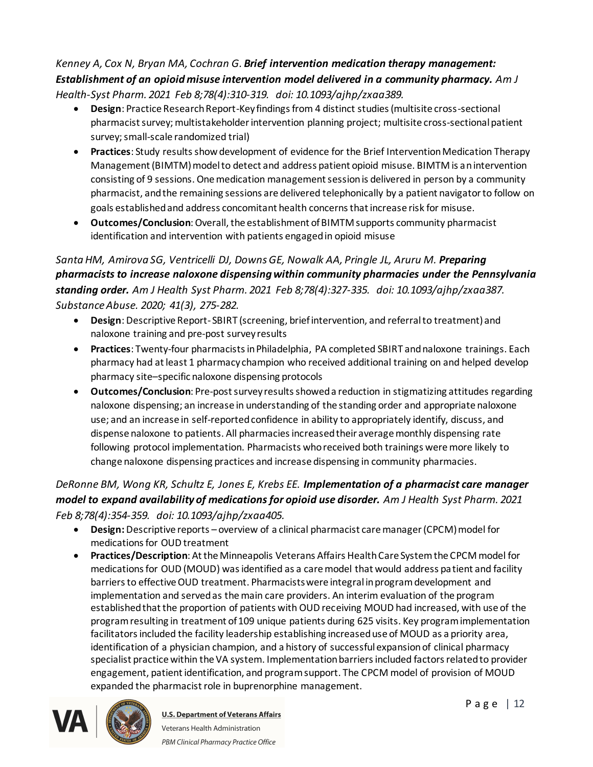#### *Kenney A, Cox N, Bryan MA, Cochran G. Brief intervention medication therapy management: Establishment of an opioid misuse intervention model delivered in a community pharmacy. Am J Health-Syst Pharm. 2021 Feb 8;78(4):310-319. doi: 10.1093/ajhp/zxaa389.*

- · **Design**: Practice Research Report-Key findings from 4 distinct studies (multisite cross-sectional pharmacist survey; multistakeholder intervention planning project; multisite cross-sectional patient survey; small-scale randomized trial)
- · **Practices**: Study results show development of evidence for the Brief Intervention Medication Therapy Management (BIMTM) model to detect and address patient opioid misuse. BIMTM is an intervention consisting of 9 sessions. One medication management session is delivered in person by a community pharmacist, and the remaining sessions are delivered telephonically by a patient navigator to follow on goals established and address concomitant health concerns that increase risk for misuse.
- · **Outcomes/Conclusion**: Overall, the establishment of BIMTM supports community pharmacist identification and intervention with patients engaged in opioid misuse

# *Santa HM, Amirova SG, Ventricelli DJ, Downs GE, Nowalk AA, Pringle JL, Aruru M. Preparing pharmacists to increase naloxone dispensing within community pharmacies under the Pennsylvania standing order. Am J Health Syst Pharm. 2021 Feb 8;78(4):327-335. doi: 10.1093/ajhp/zxaa387. Substance Abuse. 2020; 41(3), 275-282.*

- · **Design**: Descriptive Report- SBIRT (screening, brief intervention, and referral to treatment) and naloxone training and pre-post survey results
- · **Practices**: Twenty-four pharmacists in Philadelphia, PA completed SBIRT and naloxone trainings. Each pharmacy had at least 1 pharmacy champion who received additional training on and helped develop pharmacy site–specific naloxone dispensing protocols
- · **Outcomes/Conclusion**: Pre-post survey results showed a reduction in stigmatizing attitudes regarding naloxone dispensing; an increase in understanding of the standing order and appropriate naloxone use; and an increase in self-reported confidence in ability to appropriately identify, discuss, and dispense naloxone to patients. All pharmacies increased their average monthly dispensing rate following protocol implementation. Pharmacists who received both trainings were more likely to change naloxone dispensing practices and increase dispensing in community pharmacies.

# *DeRonne BM, Wong KR, Schultz E, Jones E, Krebs EE. Implementation of a pharmacist care manager model to expand availability of medications for opioid use disorder. Am J Health Syst Pharm. 2021 Feb 8;78(4):354-359. doi: 10.1093/ajhp/zxaa405.*

- · **Design:** Descriptive reports overview of a clinical pharmacist care manager (CPCM) model for medications for OUD treatment
- · **Practices/Description**: At the Minneapolis Veterans Affairs Health Care System the CPCM model for medications for OUD (MOUD) was identified as a care model that would address patient and facility barriers to effective OUD treatment. Pharmacists were integral in program development and implementation and served as the main care providers. An interim evaluation of the program established that the proportion of patients with OUD receiving MOUD had increased, with use of the program resulting in treatment of 109 unique patients during 625 visits. Key program implementation facilitators included the facility leadership establishing increased use of MOUD as a priority area, identification of a physician champion, and a history of successful expansion of clinical pharmacy specialist practice within the VA system. Implementation barriers included factors related to provider engagement, patient identification, and program support. The CPCM model of provision of MOUD expanded the pharmacist role in buprenorphine management.



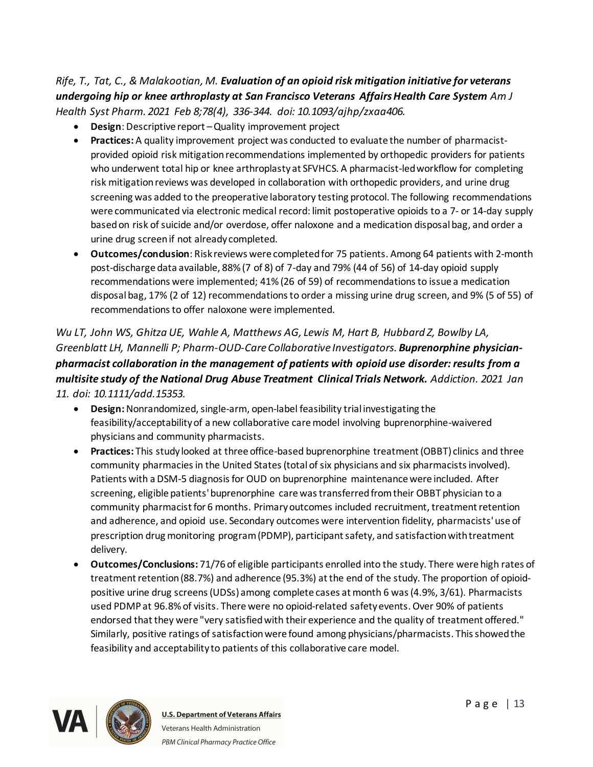### *Rife, T., Tat, C., & Malakootian, M. Evaluation of an opioid risk mitigation initiative for veterans undergoing hip or knee arthroplasty at San Francisco Veterans Affairs Health Care System Am J Health Syst Pharm. 2021 Feb 8;78(4), 336-344. doi: 10.1093/ajhp/zxaa406.*

- · **Design**: Descriptive report –Quality improvement project
- · **Practices:** A quality improvement project was conducted to evaluate the number of pharmacistprovided opioid risk mitigation recommendations implemented by orthopedic providers for patients who underwent total hip or knee arthroplasty at SFVHCS. A pharmacist-led workflow for completing risk mitigation reviews was developed in collaboration with orthopedic providers, and urine drug screening was added to the preoperative laboratory testing protocol. The following recommendations were communicated via electronic medical record: limit postoperative opioids to a 7- or 14-day supply based on risk of suicide and/or overdose, offer naloxone and a medication disposal bag, and order a urine drug screen if not already completed.
- · **Outcomes/conclusion**: Risk reviews were completed for 75 patients. Among 64 patients with 2-month post-discharge data available, 88% (7 of 8) of 7-day and 79% (44 of 56) of 14-day opioid supply recommendations were implemented; 41% (26 of 59) of recommendations to issue a medication disposal bag, 17% (2 of 12) recommendations to order a missing urine drug screen, and 9% (5 of 55) of recommendations to offer naloxone were implemented.

# *Wu LT, John WS, Ghitza UE, Wahle A, Matthews AG, Lewis M, Hart B, Hubbard Z, Bowlby LA, Greenblatt LH, Mannelli P; Pharm-OUD-Care Collaborative Investigators. Buprenorphine physicianpharmacist collaboration in the management of patients with opioid use disorder: results from a multisite study of the National Drug Abuse Treatment Clinical Trials Network. Addiction. 2021 Jan 11. doi: 10.1111/add.15353.*

- · **Design:**Nonrandomized, single-arm, open-label feasibility trial investigating the feasibility/acceptability of a new collaborative care model involving buprenorphine-waivered physicians and community pharmacists.
- · **Practices:** This study looked at three office-based buprenorphine treatment (OBBT) clinics and three community pharmacies in the United States (total of six physicians and six pharmacists involved). Patients with a DSM-5 diagnosis for OUD on buprenorphine maintenance were included. After screening, eligible patients' buprenorphine care was transferred from their OBBT physician to a community pharmacist for 6 months. Primary outcomes included recruitment, treatment retention and adherence, and opioid use. Secondary outcomes were intervention fidelity, pharmacists' use of prescription drug monitoring program (PDMP), participant safety, and satisfaction with treatment delivery.
- · **Outcomes/Conclusions:** 71/76 of eligible participants enrolled into the study. There were high rates of treatment retention (88.7%) and adherence (95.3%) at the end of the study. The proportion of opioidpositive urine drug screens (UDSs) among complete cases at month 6 was (4.9%, 3/61). Pharmacists used PDMP at 96.8% of visits. There were no opioid-related safety events. Over 90% of patients endorsed that they were "very satisfied with their experience and the quality of treatment offered." Similarly, positive ratings of satisfaction were found among physicians/pharmacists. This showed the feasibility and acceptability to patients of this collaborative care model.

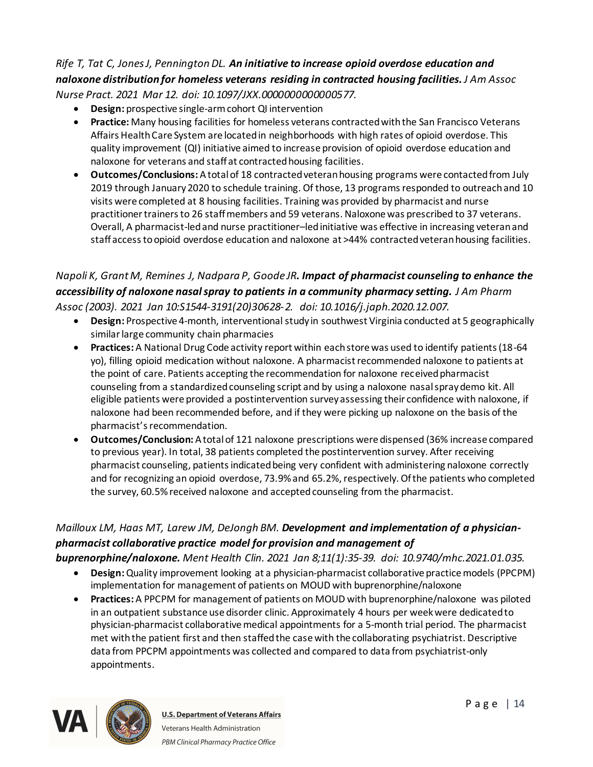#### *Rife T, Tat C, Jones J, Pennington DL. An initiative to increase opioid overdose education and naloxone distribution for homeless veterans residing in contracted housing facilities.J Am Assoc Nurse Pract. 2021 Mar 12. doi: 10.1097/JXX.0000000000000577.*

- · **Design:** prospective single-arm cohort QI intervention
- · **Practice:** Many housing facilities for homeless veterans contracted with the San Francisco Veterans Affairs Health Care System are located in neighborhoods with high rates of opioid overdose. This quality improvement (QI) initiative aimed to increase provision of opioid overdose education and naloxone for veterans and staff at contracted housing facilities.
- · **Outcomes/Conclusions:** A total of 18 contracted veteran housing programs were contacted from July 2019 through January 2020 to schedule training. Of those, 13 programs responded to outreach and 10 visits were completed at 8 housing facilities. Training was provided by pharmacist and nurse practitioner trainers to 26 staff members and 59 veterans. Naloxone was prescribed to 37 veterans. Overall, A pharmacist-led and nurse practitioner–led initiative was effective in increasing veteran and staff access to opioid overdose education and naloxone at >44% contracted veteran housing facilities.

### *Napoli K, Grant M, Remines J, Nadpara P, Goode JR. Impact of pharmacist counseling to enhance the accessibility of naloxone nasal spray to patients in a community pharmacy setting. J Am Pharm Assoc (2003). 2021 Jan 10:S1544-3191(20)30628-2. doi: 10.1016/j.japh.2020.12.007.*

- · **Design:** Prospective 4-month, interventional study in southwest Virginia conducted at 5 geographically similar large community chain pharmacies
- · **Practices:** A National Drug Code activity report within each store was used to identify patients (18-64 yo), filling opioid medication without naloxone. A pharmacist recommended naloxone to patients at the point of care. Patients accepting the recommendation for naloxone received pharmacist counseling from a standardized counseling script and by using a naloxone nasal spray demo kit. All eligible patients were provided a postintervention survey assessing their confidence with naloxone, if naloxone had been recommended before, and if they were picking up naloxone on the basis of the pharmacist's recommendation.
- · **Outcomes/Conclusion:** A total of 121 naloxone prescriptions were dispensed (36% increase compared to previous year). In total, 38 patients completed the postintervention survey. After receiving pharmacist counseling, patients indicated being very confident with administering naloxone correctly and for recognizing an opioid overdose, 73.9% and 65.2%, respectively. Of the patients who completed the survey, 60.5% received naloxone and accepted counseling from the pharmacist.

# *Mailloux LM, Haas MT, Larew JM, DeJongh BM. Development and implementation of a physicianpharmacist collaborative practice model for provision and management of*

- *buprenorphine/naloxone. Ment Health Clin. 2021 Jan 8;11(1):35-39. doi: 10.9740/mhc.2021.01.035.*
	- · **Design:**Quality improvement looking at a physician-pharmacist collaborative practice models (PPCPM) implementation for management of patients on MOUD with buprenorphine/naloxone
	- · **Practices:** A PPCPM for management of patients on MOUD with buprenorphine/naloxone was piloted in an outpatient substance use disorder clinic. Approximately 4 hours per week were dedicated to physician-pharmacist collaborative medical appointments for a 5-month trial period. The pharmacist met with the patient first and then staffed the case with the collaborating psychiatrist. Descriptive data from PPCPM appointments was collected and compared to data from psychiatrist-only appointments.

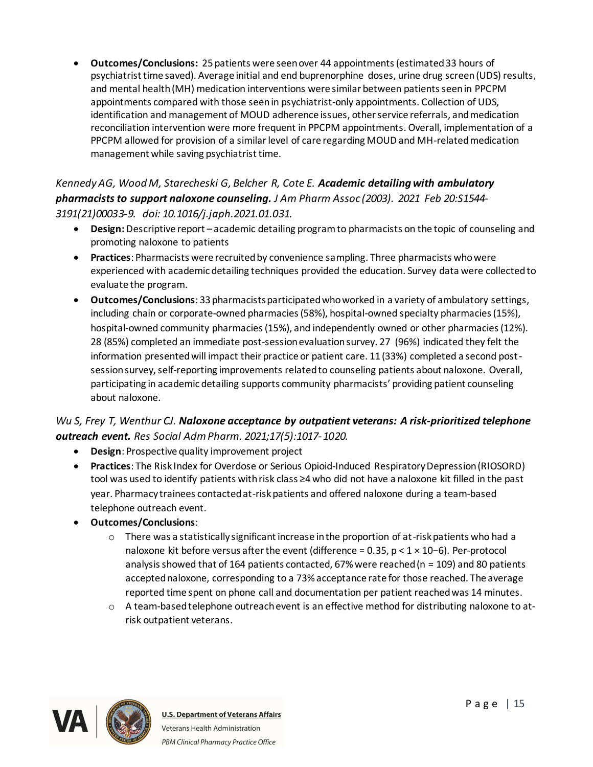· **Outcomes/Conclusions:** 25 patients were seen over 44 appointments (estimated 33 hours of psychiatrist time saved). Average initial and end buprenorphine doses, urine drug screen (UDS) results, and mental health (MH) medication interventions were similar between patients seen in PPCPM appointments compared with those seen in psychiatrist-only appointments. Collection of UDS, identification and management of MOUD adherence issues, other service referrals, and medication reconciliation intervention were more frequent in PPCPM appointments. Overall, implementation of a PPCPM allowed for provision of a similar level of care regarding MOUD and MH-related medication management while saving psychiatrist time.

*Kennedy AG, Wood M, Starecheski G, Belcher R, Cote E. Academic detailing with ambulatory pharmacists to support naloxone counseling. J Am Pharm Assoc (2003). 2021 Feb 20:S1544- 3191(21)00033-9. doi: 10.1016/j.japh.2021.01.031.*

- · **Design:** Descriptive report academic detailing program to pharmacists on the topic of counseling and promoting naloxone to patients
- · **Practices**: Pharmacists were recruited by convenience sampling. Three pharmacists who were experienced with academic detailing techniques provided the education. Survey data were collected to evaluate the program.
- · **Outcomes/Conclusions**: 33 pharmacists participated who worked in a variety of ambulatory settings, including chain or corporate-owned pharmacies (58%), hospital-owned specialty pharmacies (15%), hospital-owned community pharmacies (15%), and independently owned or other pharmacies (12%). 28 (85%) completed an immediate post-session evaluation survey. 27 (96%) indicated they felt the information presented will impact their practice or patient care. 11 (33%) completed a second postsession survey, self-reporting improvements related to counseling patients about naloxone. Overall, participating in academic detailing supports community pharmacists' providing patient counseling about naloxone.

# *Wu S, Frey T, Wenthur CJ. Naloxone acceptance by outpatient veterans: A risk-prioritized telephone outreach event. Res Social Adm Pharm. 2021;17(5):1017-1020.*

- · **Design**: Prospective quality improvement project
- · **Practices**: The Risk Index for Overdose or Serious Opioid-Induced Respiratory Depression (RIOSORD) tool was used to identify patients with risk class ≥4 who did not have a naloxone kit filled in the past year. Pharmacy trainees contacted at-risk patients and offered naloxone during a team-based telephone outreach event.
- · **Outcomes/Conclusions**:
	- $\circ$  There was a statistically significant increase in the proportion of at-risk patients who had a naloxone kit before versus after the event (difference = 0.35, p < 1 × 10−6). Per-protocol analysis showed that of 164 patients contacted, 67% were reached ( $n = 109$ ) and 80 patients accepted naloxone, corresponding to a 73% acceptance rate for those reached. The average reported time spent on phone call and documentation per patient reached was 14 minutes.
	- o A team-based telephone outreach event is an effective method for distributing naloxone to atrisk outpatient veterans.

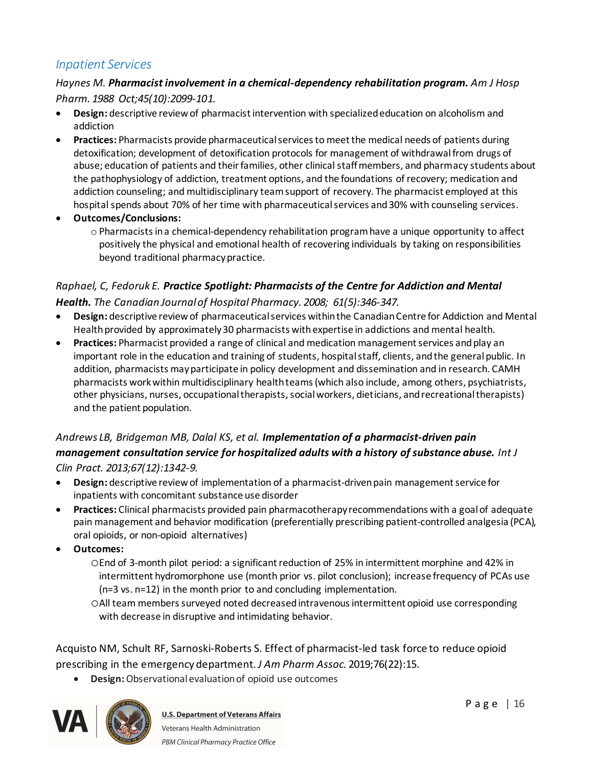# <span id="page-15-0"></span>*Inpatient Services*

#### *Haynes M. Pharmacist involvement in a chemical-dependency rehabilitation program. Am J Hosp Pharm. 1988 Oct;45(10):2099-101.*

- · **Design:** descriptive review of pharmacist intervention with specialized education on alcoholism and addiction
- · **Practices:** Pharmacists provide pharmaceutical services to meet the medical needs of patients during detoxification; development of detoxification protocols for management of withdrawal from drugs of abuse; education of patients and their families, other clinical staff members, and pharmacy students about the pathophysiology of addiction, treatment options, and the foundations of recovery; medication and addiction counseling; and multidisciplinary team support of recovery. The pharmacist employed at this hospital spends about 70% of her time with pharmaceutical services and 30% with counseling services.
- · **Outcomes/Conclusions:**
	- $\circ$  Pharmacists in a chemical-dependency rehabilitation program have a unique opportunity to affect positively the physical and emotional health of recovering individuals by taking on responsibilities beyond traditional pharmacy practice.

#### *Raphael, C, Fedoruk E. Practice Spotlight: Pharmacists of the Centre for Addiction and Mental Health. The Canadian Journal of Hospital Pharmacy. 2008; 61(5):346-347.*

- · **Design:** descriptive review of pharmaceutical services within the Canadian Centre for Addiction and Mental Health provided by approximately 30 pharmacists with expertise in addictions and mental health.
- · **Practices:** Pharmacist provided a range of clinical and medication management services andplay an important role in the education and training of students, hospital staff, clients, and the general public. In addition, pharmacists may participate in policy development and dissemination and in research. CAMH pharmacists work within multidisciplinary health teams (which also include, among others, psychiatrists, other physicians, nurses, occupational therapists, social workers, dieticians, and recreational therapists) and the patient population.

# *Andrews LB, Bridgeman MB, Dalal KS, et al. Implementation of a pharmacist-driven pain management consultation service for hospitalized adults with a history of substance abuse. Int J*

*Clin Pract. 2013;67(12):1342-9.*

- · **Design:** descriptive review of implementation of a pharmacist-driven pain management service for inpatients with concomitant substance use disorder
- · **Practices:** Clinical pharmacists provided pain pharmacotherapy recommendations with a goal of adequate pain management and behavior modification (preferentially prescribing patient-controlled analgesia (PCA), oral opioids, or non-opioid alternatives)
- · **Outcomes:**
	- oEnd of 3-month pilot period: a significant reduction of 25% in intermittent morphine and 42% in intermittent hydromorphone use (month prior vs. pilot conclusion); increase frequency of PCAs use (n=3 vs. n=12) in the month prior to and concluding implementation.
	- oAll team members surveyed noted decreased intravenous intermittent opioid use corresponding with decrease in disruptive and intimidating behavior.

Acquisto NM, Schult RF, Sarnoski-Roberts S. Effect of pharmacist-led task force to reduce opioid prescribing in the emergency department. *J Am Pharm Assoc.* 2019;76(22):15.

· **Design:** Observational evaluation of opioid use outcomes

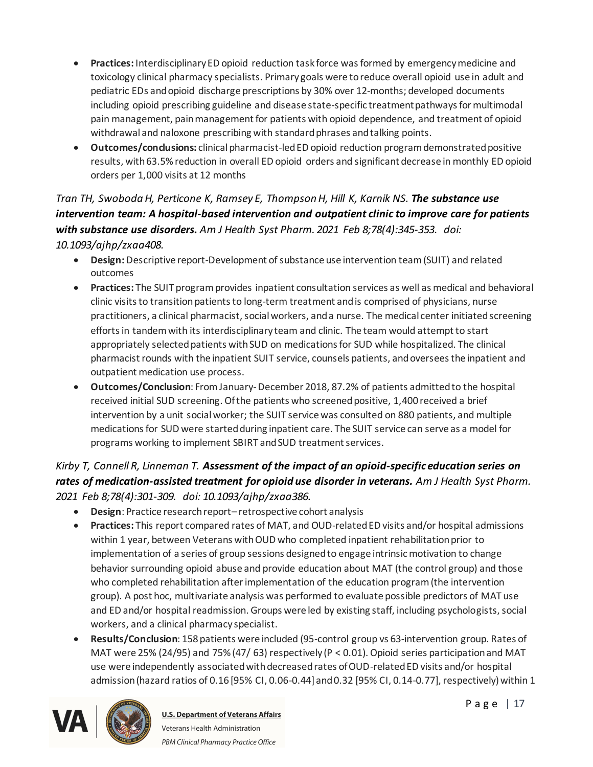- · **Practices:** Interdisciplinary ED opioid reduction task force was formed by emergency medicine and toxicology clinical pharmacy specialists. Primary goals were to reduce overall opioid use in adult and pediatric EDs and opioid discharge prescriptions by 30% over 12-months; developed documents including opioid prescribing guideline and disease state-specific treatment pathways for multimodal pain management, pain management for patients with opioid dependence, and treatment of opioid withdrawal and naloxone prescribing with standard phrases and talking points.
- · **Outcomes/conclusions:** clinical pharmacist-led ED opioid reduction program demonstrated positive results, with 63.5% reduction in overall ED opioid orders and significant decrease in monthly ED opioid orders per 1,000 visits at 12 months

*Tran TH, Swoboda H, Perticone K, Ramsey E, Thompson H, Hill K, Karnik NS. The substance use intervention team: A hospital-based intervention and outpatient clinic to improve care for patients with substance use disorders. Am J Health Syst Pharm. 2021 Feb 8;78(4):345-353. doi: 10.1093/ajhp/zxaa408.* 

- · **Design:** Descriptive report-Development of substance use intervention team (SUIT) and related outcomes
- · **Practices:** The SUIT program provides inpatient consultation services as well as medical and behavioral clinic visits to transition patients to long-term treatment and is comprised of physicians, nurse practitioners, a clinical pharmacist, social workers, and a nurse. The medical center initiated screening efforts in tandem with its interdisciplinary team and clinic. The team would attempt to start appropriately selected patients with SUD on medications for SUD while hospitalized. The clinical pharmacist rounds with the inpatient SUIT service, counsels patients, and oversees the inpatient and outpatient medication use process.
- · **Outcomes/Conclusion**: From January-December 2018, 87.2% of patients admitted to the hospital received initial SUD screening. Of the patients who screened positive, 1,400 received a brief intervention by a unit social worker; the SUIT service was consulted on 880 patients, and multiple medications for SUD were started during inpatient care. The SUIT service can serve as a model for programs working to implement SBIRT and SUD treatment services.

# *Kirby T, Connell R, Linneman T. Assessment of the impact of an opioid-specific education series on rates of medication-assisted treatment for opioid use disorder in veterans. Am J Health Syst Pharm. 2021 Feb 8;78(4):301-309. doi: 10.1093/ajhp/zxaa386.*

- · **Design**: Practice research report– retrospective cohort analysis
- · **Practices:** This report compared rates of MAT, and OUD-related ED visits and/or hospital admissions within 1 year, between Veterans with OUD who completed inpatient rehabilitation prior to implementation of a series of group sessions designed to engage intrinsic motivation to change behavior surrounding opioid abuse and provide education about MAT (the control group) and those who completed rehabilitation after implementation of the education program (the intervention group). A post hoc, multivariate analysis was performed to evaluate possible predictors of MAT use and ED and/or hospital readmission. Groups were led by existing staff, including psychologists, social workers, and a clinical pharmacy specialist.
- · **Results/Conclusion**: 158 patients were included (95-control group vs 63-intervention group. Rates of MAT were 25% (24/95) and 75% (47/ 63) respectively (P < 0.01). Opioid series participation and MAT use were independently associated with decreased rates of OUD-related ED visits and/or hospital admission (hazard ratios of 0.16 [95% CI, 0.06-0.44] and 0.32 [95% CI, 0.14-0.77], respectively) within 1

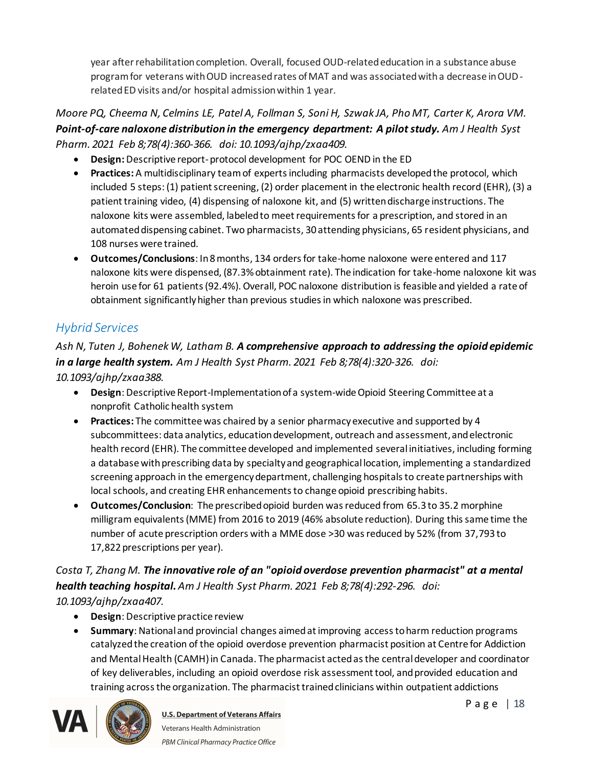year after rehabilitation completion. Overall, focused OUD-related education in a substance abuse program for veterans with OUD increased rates of MAT and was associated with a decrease in OUDrelated ED visits and/or hospital admission within 1 year.

*Moore PQ, Cheema N, Celmins LE, Patel A, Follman S, Soni H, Szwak JA, Pho MT, Carter K, Arora VM. Point-of-care naloxone distribution in the emergency department: A pilot study. Am J Health Syst Pharm. 2021 Feb 8;78(4):360-366. doi: 10.1093/ajhp/zxaa409.*

- · **Design:** Descriptive report-protocol development for POC OEND in the ED
- · **Practices:** A multidisciplinary team of experts including pharmacists developed the protocol, which included 5 steps: (1) patient screening, (2) order placement in the electronic health record (EHR), (3) a patient training video, (4) dispensing of naloxone kit, and (5) written discharge instructions. The naloxone kits were assembled, labeled to meet requirements for a prescription, and stored in an automated dispensing cabinet. Two pharmacists, 30 attending physicians, 65 resident physicians, and 108 nurses were trained.
- · **Outcomes/Conclusions**: In 8 months, 134 orders for take-home naloxone were entered and 117 naloxone kits were dispensed, (87.3% obtainment rate). The indication for take-home naloxone kit was heroin use for 61 patients (92.4%). Overall, POC naloxone distribution is feasible and yielded a rate of obtainment significantly higher than previous studies in which naloxone was prescribed.

# <span id="page-17-0"></span>*Hybrid Services*

# *Ash N, Tuten J, Bohenek W, Latham B. A comprehensive approach to addressing the opioid epidemic in a large health system. Am J Health Syst Pharm. 2021 Feb 8;78(4):320-326. doi: 10.1093/ajhp/zxaa388.*

- · **Design**: Descriptive Report-Implementation of a system-wide Opioid Steering Committee at a nonprofit Catholic health system
- · **Practices:** The committee was chaired by a senior pharmacy executive and supported by 4 subcommittees: data analytics, education development, outreach and assessment, and electronic health record (EHR). The committee developed and implemented several initiatives, including forming a database with prescribing data by specialty and geographical location, implementing a standardized screening approach in the emergency department, challenging hospitals to create partnerships with local schools, and creating EHR enhancements to change opioid prescribing habits.
- · **Outcomes/Conclusion**: The prescribed opioid burden was reduced from 65.3 to 35.2 morphine milligram equivalents (MME) from 2016 to 2019 (46% absolute reduction). During this same time the number of acute prescription orders with a MME dose >30 was reduced by 52% (from 37,793 to 17,822 prescriptions per year).

# *Costa T, Zhang M. The innovative role of an "opioid overdose prevention pharmacist" at a mental health teaching hospital.Am J Health Syst Pharm. 2021 Feb 8;78(4):292-296. doi: 10.1093/ajhp/zxaa407.*

- · **Design**: Descriptive practice review
- · **Summary**: National and provincial changes aimed at improving access to harm reduction programs catalyzed the creation of the opioid overdose prevention pharmacist position at Centre for Addiction and Mental Health (CAMH) in Canada. The pharmacist acted as the central developer and coordinator of key deliverables, including an opioid overdose risk assessment tool, and provided education and training across the organization. The pharmacist trained clinicians within outpatient addictions



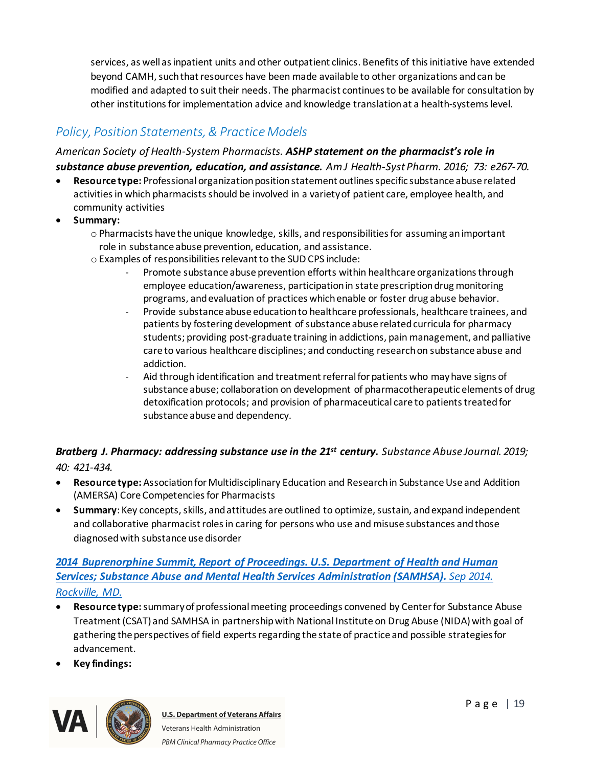services, as well as inpatient units and other outpatient clinics. Benefits of this initiative have extended beyond CAMH, such that resources have been made available to other organizations and can be modified and adapted to suit their needs. The pharmacist continues to be available for consultation by other institutions for implementation advice and knowledge translation at a health-systems level.

# <span id="page-18-0"></span>*Policy, Position Statements, & Practice Models*

#### *American Society of Health-System Pharmacists. ASHP statement on the pharmacist's role in*

*substance abuse prevention, education, and assistance. Am J Health-Syst Pharm. 2016; 73: e267-70.*

- · **Resource type:** Professional organization position statement outlines specific substance abuse related activities in which pharmacists should be involved in a variety of patient care, employee health, and community activities
- · **Summary:**
	- o Pharmacists have the unique knowledge, skills, and responsibilities for assuming an important role in substance abuse prevention, education, and assistance.
	- o Examples of responsibilities relevant to the SUD CPS include:
		- Promote substance abuse prevention efforts within healthcare organizations through employee education/awareness, participation in state prescription drug monitoring programs, and evaluation of practices which enable or foster drug abuse behavior.
		- Provide substance abuse education to healthcare professionals, healthcare trainees, and patients by fostering development of substance abuse related curricula for pharmacy students; providing post-graduate training in addictions, pain management, and palliative care to various healthcare disciplines; and conducting research on substance abuse and addiction.
		- Aid through identification and treatment referral for patients who may have signs of substance abuse; collaboration on development of pharmacotherapeutic elements of drug detoxification protocols; and provision of pharmaceutical care to patients treated for substance abuse and dependency.

#### *Bratberg J. Pharmacy: addressing substance use in the 21st century. Substance Abuse Journal. 2019; 40: 421-434.*

- 
- · **Resource type:** Association for Multidisciplinary Education and Research in Substance Use and Addition (AMERSA) Core Competencies for Pharmacists
- · **Summary**: Key concepts, skills, and attitudes are outlined to optimize, sustain, and expand independent and collaborative pharmacist roles in caring for persons who use and misuse substances and those diagnosed with substance use disorder

#### *[2014 Buprenorphine Summit, Report of Proceedings. U.S. Department of Health and Human](https://www.samhsa.gov/sites/default/files/proceedings_of_2014_buprenorphine_summit_030915_508.pdf)  Services; [Substance Abuse and Mental Health Services Administration \(SAMHSA\).](https://www.samhsa.gov/sites/default/files/proceedings_of_2014_buprenorphine_summit_030915_508.pdf) Sep 2014. [Rockville, MD.](https://www.samhsa.gov/sites/default/files/proceedings_of_2014_buprenorphine_summit_030915_508.pdf)*

- · **Resource type:**summary of professional meeting proceedings convened by Center for Substance Abuse Treatment (CSAT) and SAMHSA in partnership with National Institute on Drug Abuse (NIDA) with goal of gathering the perspectives of field experts regarding the state of practice and possible strategies for advancement.
- · **Key findings:**

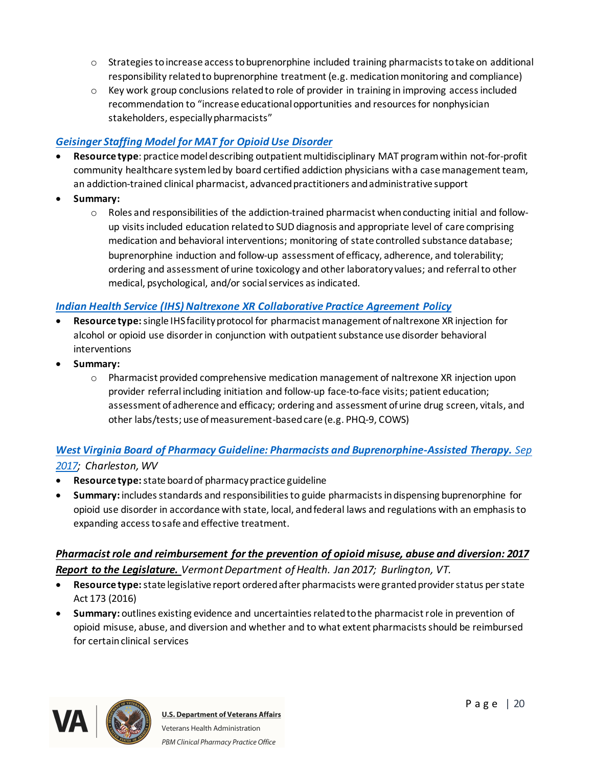- $\circ$  Strategies to increase access to buprenorphine included training pharmacists to take on additional responsibility related to buprenorphine treatment (e.g. medication monitoring and compliance)
- $\circ$  Key work group conclusions related to role of provider in training in improving access included recommendation to "increase educational opportunities and resources for nonphysician stakeholders, especially pharmacists"

#### *[Geisinger Staffing Model for MAT for Opioid Use Disorder](https://www.geisinger.org/-/media/OneGeisinger/pdfs/ghs/patient-care/conditions-specialties-treatments/MAT-Program-Brochure.pdf)*

- [·](https://www.geisinger.org/-/media/OneGeisinger/pdfs/ghs/patient-care/conditions-specialties-treatments/MAT-Program-Brochure.pdf) **Resource type**: practice model describing outpatient multidisciplinary MAT programwithin not-for-profit community healthcare systemled by board certified addiction physicians with a case management team, an addiction-trained clinical pharmacist, advanced practitioners and administrative support
- · **Summary:**
	- o Roles and responsibilities of the addiction-trained pharmacist when conducting initial and followup visits included education related to SUD diagnosis and appropriate level of care comprising medication and behavioral interventions; monitoring of state controlled substance database; buprenorphine induction and follow-up assessment of efficacy, adherence, and tolerability; ordering and assessment of urine toxicology and other laboratory values; and referral to other medical, psychological, and/or social services as indicated.

#### *[Indian Health Service \(IHS\) Naltrexone XR Collaborative Practice Agreement Policy](https://www.ihs.gov/sites/opioids/themes/responsive2017/display_objects/documents/naltrexonecpapolicy.pdf)*

- · **Resource type:**single IHS facility protocol for pharmacist management of naltrexone XR injection for alcohol or opioid use disorder in conjunction with outpatient substance use disorder behavioral interventions
- · **Summary:**
	- o Pharmacist provided comprehensive medication management of naltrexone XR injection upon provider referral including initiation and follow-up face-to-face visits; patient education; assessment of adherence and efficacy; ordering and assessment of urine drug screen, vitals, and other labs/tests; use of measurement-based care (e.g. PHQ-9, COWS)

### *[West Virginia Board of Pharmacy Guideline: Pharmacists and Buprenorphine-Assisted Therapy.](https://www.wvbop.com/article.asp?ty=CTTS&action2=showArticle&id=16) Sep [2017](https://www.wvbop.com/article.asp?ty=CTTS&action2=showArticle&id=16); Charleston, WV*

- · **Resource type:** state board of pharmacy practice guideline
- · **Summary:** includes standards and responsibilities to guide pharmacists in dispensing buprenorphine for opioid use disorder in accordance with state, local, and federal laws and regulations with an emphasis to expanding access to safe and effective treatment.

#### *[Pharmacist role and reimbursement for the prevention of opioid misuse, abuse and diversion: 2017](http://legislature.vermont.gov/assets/Legislative-Reports/Pharmacist-Reimbursement-for-Opioid-Prevention-1-20-17.pdf)  [Report to the Legislature](http://legislature.vermont.gov/assets/Legislative-Reports/Pharmacist-Reimbursement-for-Opioid-Prevention-1-20-17.pdf). Vermont Department of Health. Jan 2017; Burlington, VT.*

- · **Resource type:** state legislative report ordered after pharmacists were granted provider status per state Act 173 (2016)
- · **Summary:** outlines existing evidence and uncertainties related to the pharmacist role in prevention of opioid misuse, abuse, and diversion and whether and to what extent pharmacists should be reimbursed for certain clinical services

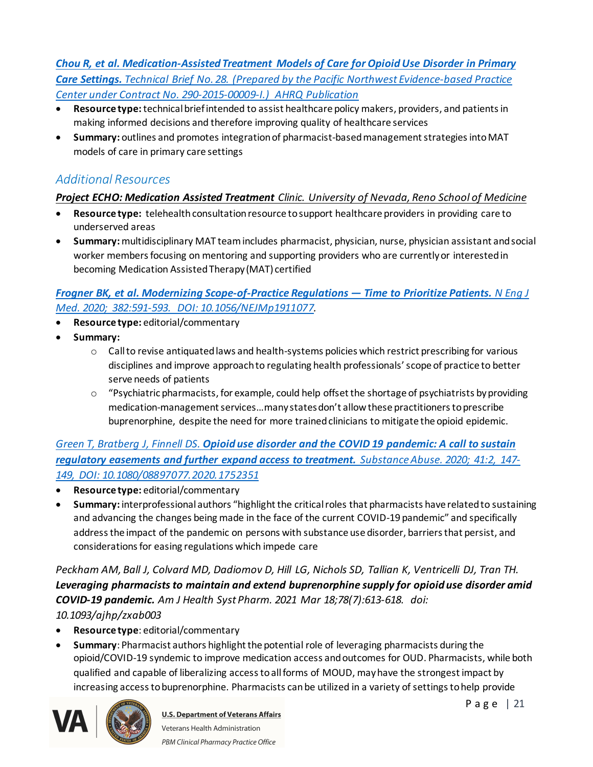*[Chou R, et al. Medication-Assisted Treatment Models of Care for Opioid Use Disorder in Primary](https://www.ncbi.nlm.nih.gov/books/NBK402352/pdf/Bookshelf_NBK402352.pdf)  Care Settings. [Technical Brief No. 28. \(Prepared by the Pacific Northwest Evidence-based Practice](https://www.ncbi.nlm.nih.gov/books/NBK402352/pdf/Bookshelf_NBK402352.pdf)  [Center under Contract No. 290-2015-00009-I.\) AHRQ Publication](https://www.ncbi.nlm.nih.gov/books/NBK402352/pdf/Bookshelf_NBK402352.pdf)* 

- · **Resource type:**technical brief intended to assist healthcare policy makers, providers, and patients in making informed decisions and therefore improving quality of healthcare services
- · **Summary:** outlines and promotes integration of pharmacist-based management strategies intoMAT models of care in primary care settings

# <span id="page-20-0"></span>*Additional Resources*

### *[Project ECHO: Medication Assisted Treatment](https://med.unr.edu/echo/clinics/medication-assisted-treatment) Clinic. University of Nevada, Reno School of Medicine*

- · **Resource type:** telehealth consultation resource to support healthcare providers in providing care to underserved areas
- · **Summary:** multidisciplinary MAT team includes pharmacist, physician, nurse, physician assistant and social worker members focusing on mentoring and supporting providers who are currentlyor interested in becoming Medication Assisted Therapy (MAT) certified

#### *[Frogner BK, et al. Modernizing Scope-of-Practice Regulations —](https://www.nejm.org/doi/full/10.1056/NEJMp1911077) Time to Prioritize Patients. N Eng J [Med. 2020; 382:591-593. DOI: 10.1056/NEJMp1911077](https://www.nejm.org/doi/full/10.1056/NEJMp1911077).*

- · **Resource type:** editorial/commentary
- · **Summary:**
	- $\circ$  Call to revise antiquated laws and health-systems policies which restrict prescribing for various disciplines and improve approach to regulating health professionals' scope of practice to better serve needs of patients
	- $\circ$  "Psychiatric pharmacists, for example, could help offset the shortage of psychiatrists by providing medication-management services…many states don't allow these practitioners to prescribe buprenorphine, despite the need for more trained clinicians to mitigate the opioid epidemic.

#### *Green T, Bratberg J, Finnell DS. [Opioid use disorder and the COVID 19 pandemic: A call to sustain](https://www.tandfonline.com/doi/full/10.1080/08897077.2020.1752351)  [regulatory easements and further expand access to treatment.](https://www.tandfonline.com/doi/full/10.1080/08897077.2020.1752351) Substance Abuse. 2020; 41:2, 147- 149, DOI: [10.1080/08897077.2020.1752351](https://www.tandfonline.com/doi/full/10.1080/08897077.2020.1752351)*

- · **Resource type:** editorial/commentary
- · **Summary:** interprofessional authors "highlight the critical roles that pharmacists have related to sustaining and advancing the changes being made in the face of the current COVID-19 pandemic" and specifically address the impact of the pandemic on persons with substance use disorder, barriers that persist, and considerations for easing regulations which impede care

*Peckham AM, Ball J, Colvard MD, Dadiomov D, Hill LG, Nichols SD, Tallian K, Ventricelli DJ, Tran TH. Leveraging pharmacists to maintain and extend buprenorphine supply for opioid use disorder amid COVID-19 pandemic. Am J Health Syst Pharm. 2021 Mar 18;78(7):613-618. doi: 10.1093/ajhp/zxab003*

- · **Resource type**: editorial/commentary
- · **Summary**: Pharmacist authors highlight the potential role of leveraging pharmacists during the opioid/COVID-19 syndemic to improve medication access and outcomes for OUD. Pharmacists, while both qualified and capable of liberalizing access to all forms of MOUD, may have the strongest impact by increasing access to buprenorphine. Pharmacists can be utilized in a variety of settings to help provide